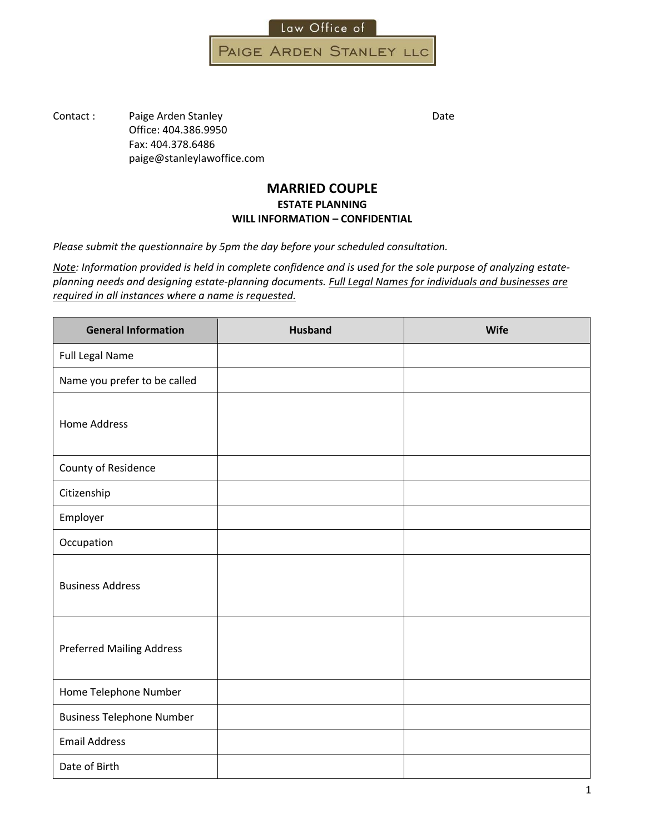

PAIGE ARDEN STANLEY LLC

Contact : Paige Arden Stanley Date Date Office: 404.386.9950 paige@stanleylawoffice.com

#### **MARRIED COUPLE ESTATE PLANNING WILL INFORMATION – CONFIDENTIAL**

*Please submit the questionnaire by 5pm two business days before your scheduled consultation.*

Note: Information provided is held in complete confidence and is used for the sole purpose of analyzing estate*planning needs and designing estate‐planning documents. Full Legal Names for individuals and businesses are required in all instances where a name is requested. Please bring real estate deeds, if applicable.*

| <b>General Information</b>       | <b>Husband</b> | <b>Wife</b> |
|----------------------------------|----------------|-------------|
| Full Legal Name                  |                |             |
| Name you prefer to be called     |                |             |
| <b>Home Address</b>              |                |             |
| County of Residence              |                |             |
| Citizenship                      |                |             |
| Employer                         |                |             |
| Occupation                       |                |             |
| <b>Business Address</b>          |                |             |
| <b>Preferred Mailing Address</b> |                |             |
| Home/Mobile Telephone            |                |             |
| <b>Business Telephone</b>        |                |             |
| <b>Preferred Email Address</b>   |                |             |
| Date of Birth                    |                |             |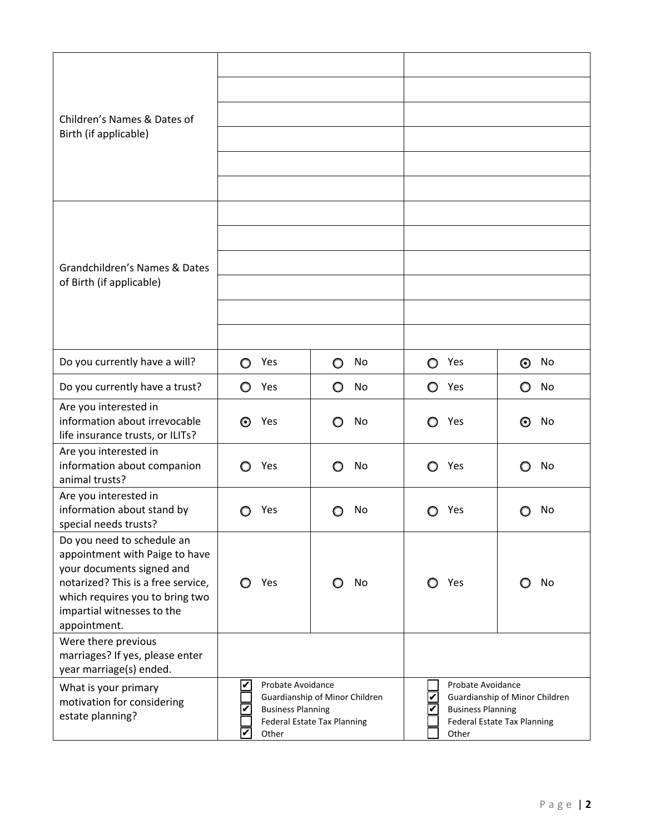| Children's Names & Dates of                                                                                                                                                                |                                                        |                                                                      |                                                        |                                                               |
|--------------------------------------------------------------------------------------------------------------------------------------------------------------------------------------------|--------------------------------------------------------|----------------------------------------------------------------------|--------------------------------------------------------|---------------------------------------------------------------|
| Birth (if applicable)                                                                                                                                                                      |                                                        |                                                                      |                                                        |                                                               |
|                                                                                                                                                                                            |                                                        |                                                                      |                                                        |                                                               |
|                                                                                                                                                                                            |                                                        |                                                                      |                                                        |                                                               |
|                                                                                                                                                                                            |                                                        |                                                                      |                                                        |                                                               |
|                                                                                                                                                                                            |                                                        |                                                                      |                                                        |                                                               |
| Grandchildren's Names & Dates                                                                                                                                                              |                                                        |                                                                      |                                                        |                                                               |
| of Birth (if applicable)                                                                                                                                                                   |                                                        |                                                                      |                                                        |                                                               |
|                                                                                                                                                                                            |                                                        |                                                                      |                                                        |                                                               |
|                                                                                                                                                                                            |                                                        |                                                                      |                                                        |                                                               |
| Do you currently have a will?                                                                                                                                                              | Yes<br>O                                               | No<br>O                                                              | Yes<br>O                                               | No<br>O                                                       |
| Do you currently have a trust?                                                                                                                                                             | O<br>Yes                                               | O<br>No                                                              | ○ Yes                                                  | No<br>O                                                       |
| Are you interested in<br>information about irrevocable<br>life insurance trusts, or ILITs?                                                                                                 | Yes<br>O                                               | No<br>O                                                              | Yes<br>O                                               | No<br>O                                                       |
| Do you have pets?                                                                                                                                                                          | Yes<br>O                                               | No<br>O                                                              | Yes<br>O                                               | No<br>O                                                       |
| Are you interested in<br>information about stand by<br>special needs trusts?                                                                                                               | Yes                                                    | No                                                                   | Yes                                                    | No                                                            |
| Do you need to schedule an<br>appointment with Paige to have<br>your documents signed and<br>notarized? This is a free service.<br>We can provide witnesses, or<br>you can bring your own. | Yes                                                    | No                                                                   | Yes                                                    | No                                                            |
| Were there previous<br>marriages? If yes, please enter<br>year marriage(s) ended.                                                                                                          |                                                        |                                                                      |                                                        |                                                               |
| What is your primary<br>motivation for considering<br>estate planning?                                                                                                                     | Probate Avoidance<br><b>Business Planning</b><br>Other | Guardianship of Minor Children<br><b>Federal Estate Tax Planning</b> | Probate Avoidance<br><b>Business Planning</b><br>Other | Guardianship of Minor Children<br>Federal Estate Tax Planning |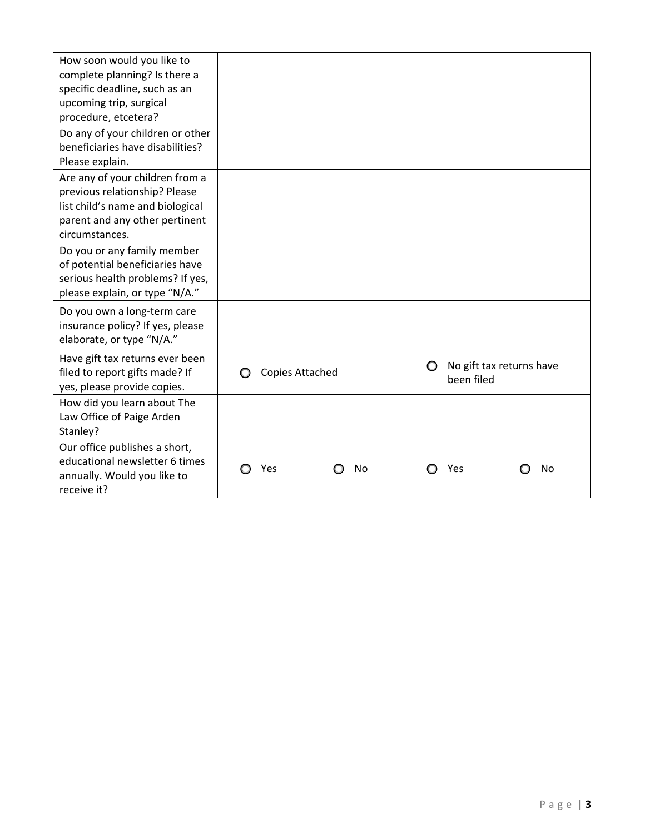| How soon would you like to<br>complete planning? Is there a<br>specific deadline, such as an<br>upcoming trip, surgical<br>procedure, etcetera?          |                        |                                             |
|----------------------------------------------------------------------------------------------------------------------------------------------------------|------------------------|---------------------------------------------|
| Do any of your children or other<br>beneficiaries have disabilities?<br>Please explain.                                                                  |                        |                                             |
| Are any of your children from a<br>previous relationship? Please<br>list child's name and biological<br>parent and any other pertinent<br>circumstances. |                        |                                             |
| Do you or any family member<br>of potential beneficiaries have<br>serious health problems? If yes,<br>please explain, or type "N/A."                     |                        |                                             |
| Do you own a long-term care<br>insurance policy? If yes, please<br>elaborate, or type "N/A."                                                             |                        |                                             |
| Have gift tax returns ever been<br>filed to report gifts made? If<br>yes, please provide copies.                                                         | <b>Copies Attached</b> | No gift tax returns have<br>O<br>been filed |
| How did you learn about The<br>Law Office of Paige Arden<br>Stanley?                                                                                     |                        |                                             |
| Our office publishes a short,<br>educational newsletter 6 times<br>annually. Would you like to<br>receive it?                                            | Yes<br>No              | Yes<br>No                                   |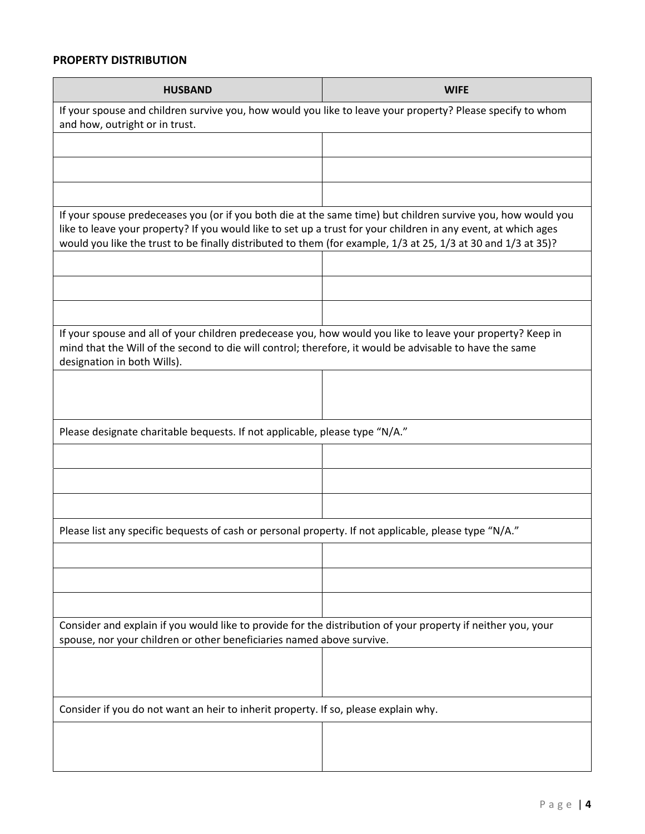#### **PROPERTY DISTRIBUTION**

| <b>HUSBAND</b>                                                                                                                                                                                                                                                                                                                                  | <b>WIFE</b> |  |
|-------------------------------------------------------------------------------------------------------------------------------------------------------------------------------------------------------------------------------------------------------------------------------------------------------------------------------------------------|-------------|--|
| If your spouse and children survive you, how would you like to leave your property? Please specify to whom<br>and how, outright or in trust.                                                                                                                                                                                                    |             |  |
|                                                                                                                                                                                                                                                                                                                                                 |             |  |
|                                                                                                                                                                                                                                                                                                                                                 |             |  |
|                                                                                                                                                                                                                                                                                                                                                 |             |  |
| If your spouse predeceases you (or if you both die at the same time) but children survive you, how would you<br>like to leave your property? If you would like to set up a trust for your children in any event, at which ages<br>would you like the trust to be finally distributed to them (for example, 1/3 at 25, 1/3 at 30 and 1/3 at 35)? |             |  |
|                                                                                                                                                                                                                                                                                                                                                 |             |  |
|                                                                                                                                                                                                                                                                                                                                                 |             |  |
|                                                                                                                                                                                                                                                                                                                                                 |             |  |
| If your spouse and all of your children predecease you, how would you like to leave your property? Keep in<br>mind that the Will of the second to die will control; therefore, it would be advisable to have the same<br>designation in both Wills).                                                                                            |             |  |
|                                                                                                                                                                                                                                                                                                                                                 |             |  |
| Please list charitable bequests, including full legal names & addresses. If not applicable, please type "N/A."                                                                                                                                                                                                                                  |             |  |
|                                                                                                                                                                                                                                                                                                                                                 |             |  |
|                                                                                                                                                                                                                                                                                                                                                 |             |  |
|                                                                                                                                                                                                                                                                                                                                                 |             |  |
| Please list any specific bequests of cash or personal property. If not applicable, please type "N/A."                                                                                                                                                                                                                                           |             |  |
|                                                                                                                                                                                                                                                                                                                                                 |             |  |
|                                                                                                                                                                                                                                                                                                                                                 |             |  |
|                                                                                                                                                                                                                                                                                                                                                 |             |  |
| Consider and explain if you would like to provide for the distribution of your property if neither you, your<br>spouse, nor your children or other beneficiaries named above survive.                                                                                                                                                           |             |  |
|                                                                                                                                                                                                                                                                                                                                                 |             |  |
|                                                                                                                                                                                                                                                                                                                                                 |             |  |
| Consider if you do not want an heir to inherit property. If so, please explain why.                                                                                                                                                                                                                                                             |             |  |
|                                                                                                                                                                                                                                                                                                                                                 |             |  |
|                                                                                                                                                                                                                                                                                                                                                 |             |  |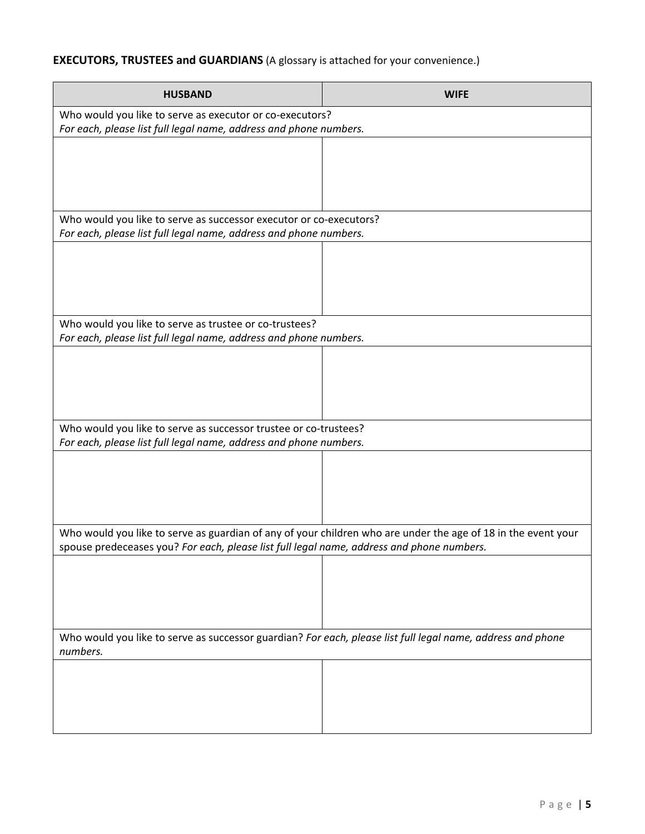# **EXECUTORS, TRUSTEES and GUARDIANS** (A glossary is attached for your convenience.)

| <b>HUSBAND</b>                                                                                                                                                                                             | <b>WIFE</b> |
|------------------------------------------------------------------------------------------------------------------------------------------------------------------------------------------------------------|-------------|
| Who would you like to serve as executor or co-executors?<br>For each, please list full legal name, address and phone numbers.                                                                              |             |
|                                                                                                                                                                                                            |             |
|                                                                                                                                                                                                            |             |
|                                                                                                                                                                                                            |             |
| Who would you like to serve as successor executor or co-executors?                                                                                                                                         |             |
| For each, please list full legal name, address and phone numbers.                                                                                                                                          |             |
|                                                                                                                                                                                                            |             |
|                                                                                                                                                                                                            |             |
|                                                                                                                                                                                                            |             |
| Who would you like to serve as trustee or co-trustees?<br>For each, please list full legal name, address and phone numbers.                                                                                |             |
|                                                                                                                                                                                                            |             |
|                                                                                                                                                                                                            |             |
|                                                                                                                                                                                                            |             |
| Who would you like to serve as successor trustee or co-trustees?                                                                                                                                           |             |
| For each, please list full legal name, address and phone numbers.                                                                                                                                          |             |
|                                                                                                                                                                                                            |             |
|                                                                                                                                                                                                            |             |
|                                                                                                                                                                                                            |             |
| Who would you like to serve as guardian of any of your children who are under the age of 18 in the event your<br>spouse predeceases you? For each, please list full legal name, address and phone numbers. |             |
|                                                                                                                                                                                                            |             |
|                                                                                                                                                                                                            |             |
|                                                                                                                                                                                                            |             |
| Who would you like to serve as successor guardian? For each, please list full legal name, address and phone<br>numbers.                                                                                    |             |
|                                                                                                                                                                                                            |             |
|                                                                                                                                                                                                            |             |
|                                                                                                                                                                                                            |             |
|                                                                                                                                                                                                            |             |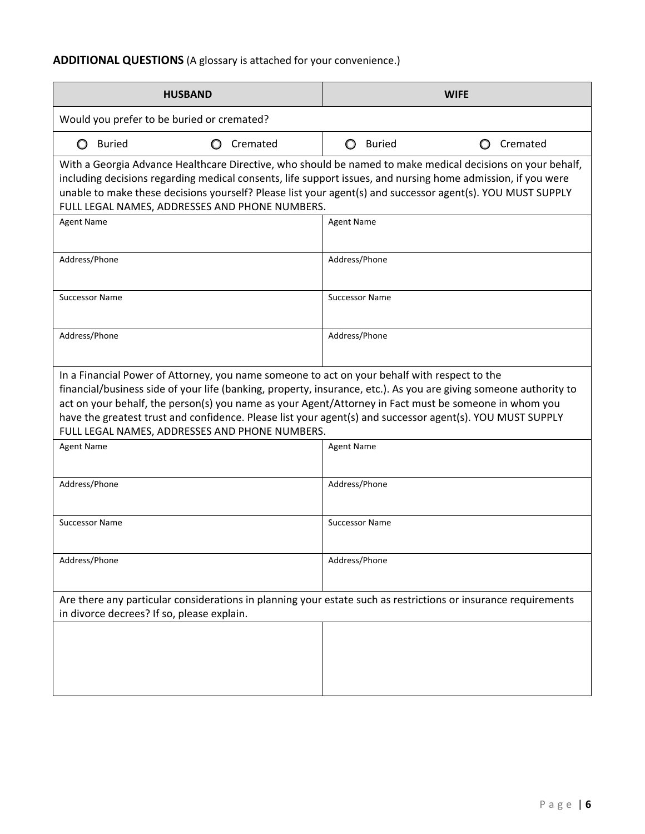# **ADDITIONAL QUESTIONS** (A glossary is attached for your convenience.)

| Cremated                                                                                                                                                                                                                                                                                                                              |
|---------------------------------------------------------------------------------------------------------------------------------------------------------------------------------------------------------------------------------------------------------------------------------------------------------------------------------------|
| With a Georgia Advance Healthcare Directive, who should be named to make medical decisions on your behalf,<br>including decisions regarding medical consents, life support issues, and nursing home admission, if you were<br>unable to make these decisions yourself? Please list your agent(s) and backup agent(s). YOU MUST SUPPLY |
|                                                                                                                                                                                                                                                                                                                                       |
|                                                                                                                                                                                                                                                                                                                                       |
|                                                                                                                                                                                                                                                                                                                                       |
|                                                                                                                                                                                                                                                                                                                                       |
| financial/business side of your life (banking, property, insurance, etc.). As you are giving someone authority to<br>act on your behalf, the person(s) you name as your Agent/Attorney in Fact must be someone in whom you<br>have the greatest trust and confidence. Please list your agent(s) and backup agent(s). YOU MUST SUPPLY  |
|                                                                                                                                                                                                                                                                                                                                       |
|                                                                                                                                                                                                                                                                                                                                       |
|                                                                                                                                                                                                                                                                                                                                       |
|                                                                                                                                                                                                                                                                                                                                       |
| Are there any particular considerations in planning your estate such as restrictions or insurance requirements                                                                                                                                                                                                                        |
|                                                                                                                                                                                                                                                                                                                                       |
|                                                                                                                                                                                                                                                                                                                                       |
|                                                                                                                                                                                                                                                                                                                                       |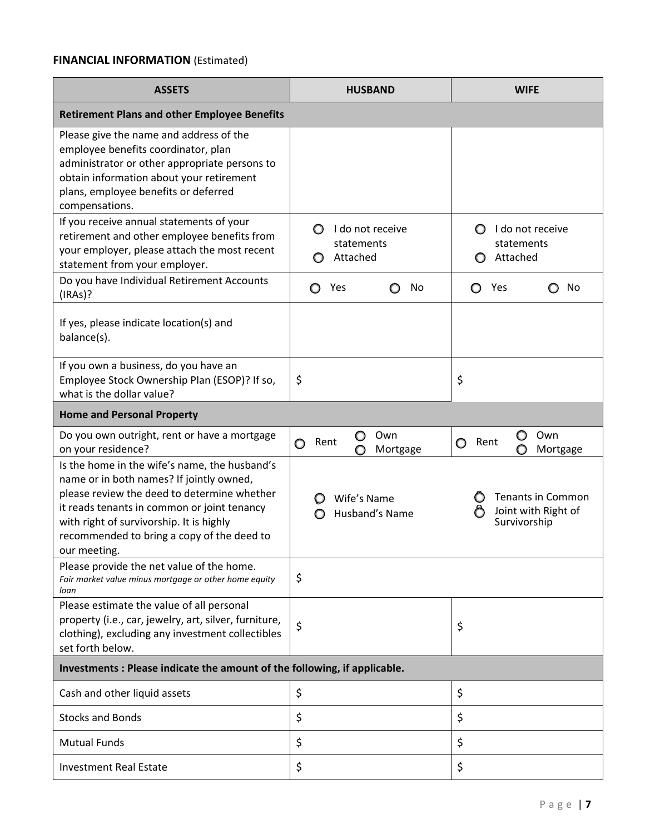# **FINANCIAL INFORMATION** (Estimated)

| <b>ASSETS</b>                                                                                                                                                                                                                                                                                     | <b>HUSBAND</b>                                             | <b>WIFE</b>                                                          |
|---------------------------------------------------------------------------------------------------------------------------------------------------------------------------------------------------------------------------------------------------------------------------------------------------|------------------------------------------------------------|----------------------------------------------------------------------|
| <b>Retirement Plans and other Employee Benefits</b>                                                                                                                                                                                                                                               |                                                            |                                                                      |
| Please give the name and address of the<br>employee benefits coordinator, plan<br>administrator or other appropriate persons to<br>obtain information about your retirement<br>plans, employee benefits or deferred<br>compensations.                                                             |                                                            |                                                                      |
| If you receive annual statements of your<br>retirement and other employee benefits from<br>your employer, please attach the most recent<br>statement from your employer.                                                                                                                          | I do not receive<br>O<br>statements<br>Attached<br>$\circ$ | I do not receive<br>statements<br>Attached<br>O                      |
| Do you have Individual Retirement Accounts<br>(IRAs)?                                                                                                                                                                                                                                             | Yes<br>No<br>O<br>O                                        | Yes<br>No<br>O                                                       |
| If yes, please indicate location(s) and<br>balance(s).                                                                                                                                                                                                                                            |                                                            |                                                                      |
| If you own a business, do you have an<br>Employee Stock Ownership Plan (ESOP)? If so,<br>what is the dollar value?                                                                                                                                                                                | \$                                                         | \$                                                                   |
| <b>Home and Personal Property</b>                                                                                                                                                                                                                                                                 |                                                            |                                                                      |
| Do you own outright, rent or have a mortgage<br>on your residence?                                                                                                                                                                                                                                | Own<br>O<br>Rent<br>O<br>Mortgage                          | Own<br>O<br>Rent<br>O<br>Mortgage                                    |
| Is the home in the wife's name, the husband's<br>name or in both names? If jointly owned,<br>please review the deed to determine whether<br>it reads tenants in common or joint tenancy<br>with right of survivorship. It is highly<br>recommended to bring a copy of the deed to<br>our meeting. | Wife's Name<br>O<br>Husband's Name                         | <b>Tenants in Common</b><br>Joint with Right of<br>O<br>Survivorship |
| Please provide the net value of the home.<br>Fair market value minus mortgage or other home equity<br>loan                                                                                                                                                                                        | \$                                                         |                                                                      |
| Please estimate the value of all personal<br>property (i.e., car, jewelry, art, silver, furniture,<br>clothing), excluding any investment collectibles<br>set forth below.                                                                                                                        | \$                                                         | \$                                                                   |
| Investments : Please indicate the amount of the following, if applicable.                                                                                                                                                                                                                         |                                                            |                                                                      |
| Cash and other liquid assets                                                                                                                                                                                                                                                                      | \$                                                         | \$                                                                   |
| <b>Stocks and Bonds</b>                                                                                                                                                                                                                                                                           | \$                                                         | \$                                                                   |
| <b>Mutual Funds</b>                                                                                                                                                                                                                                                                               | \$                                                         | \$                                                                   |
| <b>Investment Real Estate</b>                                                                                                                                                                                                                                                                     | \$                                                         | \$                                                                   |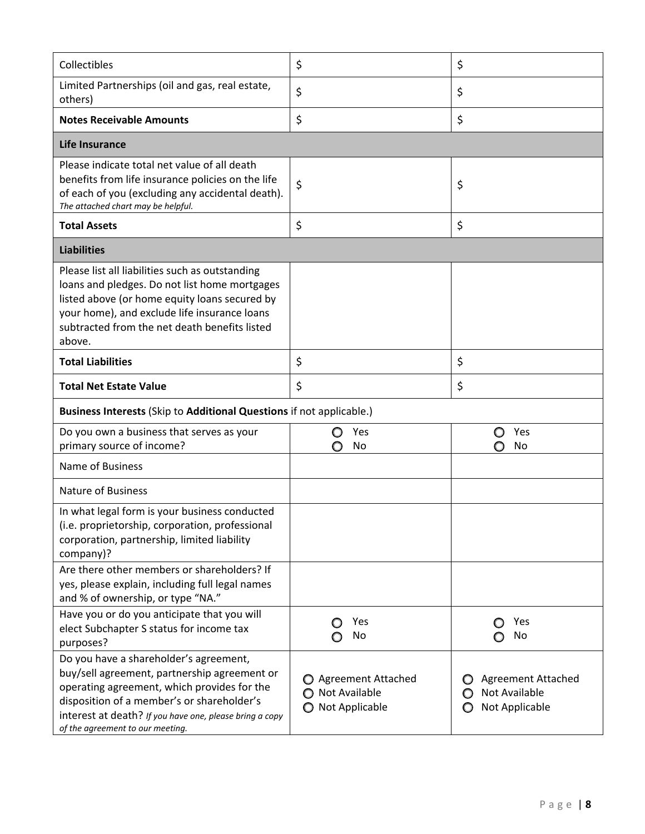| Collectibles                                                                                                                                                                                                                                                                       | \$                                                          | \$                                                                     |  |
|------------------------------------------------------------------------------------------------------------------------------------------------------------------------------------------------------------------------------------------------------------------------------------|-------------------------------------------------------------|------------------------------------------------------------------------|--|
| Limited Partnerships (oil and gas, real estate,<br>others)                                                                                                                                                                                                                         | \$                                                          | \$                                                                     |  |
| <b>Notes Receivable Amounts</b>                                                                                                                                                                                                                                                    | \$                                                          | \$                                                                     |  |
| Life Insurance                                                                                                                                                                                                                                                                     |                                                             |                                                                        |  |
| Please indicate total net value of all death<br>benefits from life insurance policies on the life<br>of each of you (excluding any accidental death).<br>The attached chart may be helpful.                                                                                        | \$                                                          | \$                                                                     |  |
| <b>Total Assets</b>                                                                                                                                                                                                                                                                | \$                                                          | \$                                                                     |  |
| <b>Liabilities</b>                                                                                                                                                                                                                                                                 |                                                             |                                                                        |  |
| Please list all liabilities such as outstanding<br>loans and pledges. Do not list home mortgages<br>listed above (or home equity loans secured by<br>your home), and exclude life insurance loans<br>subtracted from the net death benefits listed<br>above.                       |                                                             |                                                                        |  |
| <b>Total Liabilities</b>                                                                                                                                                                                                                                                           | \$                                                          | \$                                                                     |  |
| <b>Total Net Estate Value</b>                                                                                                                                                                                                                                                      | \$                                                          | \$                                                                     |  |
| Business Interests (Skip to Additional Questions if not applicable.)                                                                                                                                                                                                               |                                                             |                                                                        |  |
| Do you own a business that serves as your<br>primary source of income?                                                                                                                                                                                                             | Yes<br>O<br>No<br>O                                         | Yes<br>O<br>No<br>O                                                    |  |
| Name of Business                                                                                                                                                                                                                                                                   |                                                             |                                                                        |  |
| <b>Nature of Business</b>                                                                                                                                                                                                                                                          |                                                             |                                                                        |  |
| In what legal form is your business conducted<br>(i.e. proprietorship, corporation, professional<br>corporation, partnership, limited liability<br>company)?                                                                                                                       |                                                             |                                                                        |  |
| Are there other members or shareholders? If<br>yes, please explain, including full legal names<br>and % of ownership, or type "NA."                                                                                                                                                |                                                             |                                                                        |  |
| Have you or do you anticipate that you will<br>elect Subchapter S status for income tax<br>purposes?                                                                                                                                                                               | Yes<br>O<br>No                                              | Yes<br>O<br>No                                                         |  |
| Do you have a shareholder's agreement,<br>buy/sell agreement, partnership agreement or<br>operating agreement, which provides for the<br>disposition of a member's or shareholder's<br>interest at death? If you have one, please bring a copy<br>of the agreement to our meeting. | ◯ Agreement Attached<br>◯ Not Available<br>O Not Applicable | <b>Agreement Attached</b><br>Not Available<br>O<br>Not Applicable<br>O |  |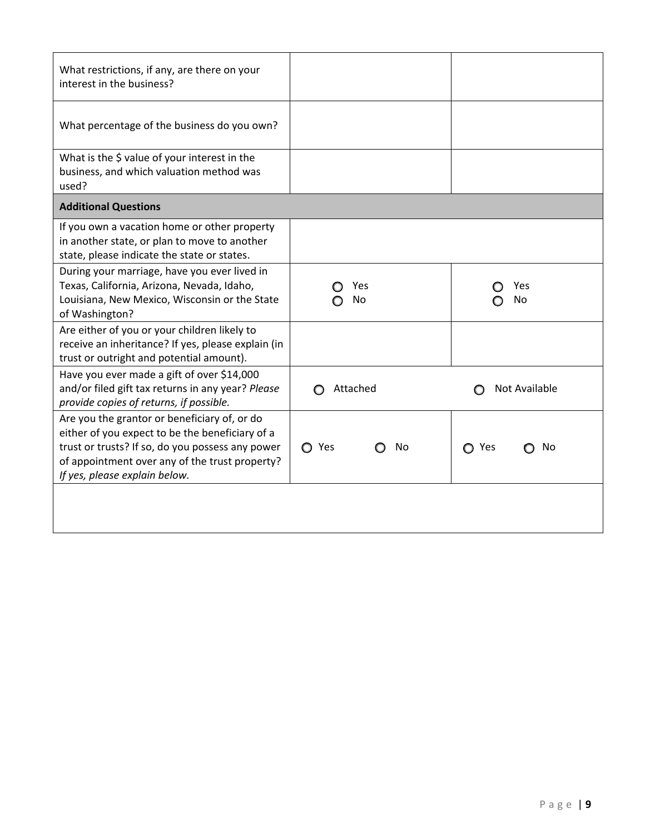| What restrictions, if any, are there on your<br>interest in the business?                                                                                                                                                              |             |                      |
|----------------------------------------------------------------------------------------------------------------------------------------------------------------------------------------------------------------------------------------|-------------|----------------------|
| What percentage of the business do you own?                                                                                                                                                                                            |             |                      |
| What is the \$ value of your interest in the<br>business, and which valuation method was<br>used?                                                                                                                                      |             |                      |
| <b>Additional Questions</b>                                                                                                                                                                                                            |             |                      |
| If you own a vacation home or other property<br>in another state, or plan to move to another<br>state, please indicate the state or states.                                                                                            |             |                      |
| During your marriage, have you ever lived in<br>Texas, California, Arizona, Nevada, Idaho,<br>Louisiana, New Mexico, Wisconsin or the State<br>of Washington?                                                                          | Yes<br>No   | Yes<br>No            |
| Are either of you or your children likely to<br>receive an inheritance? If yes, please explain (in<br>trust or outright and potential amount).                                                                                         |             |                      |
| Have you ever made a gift of over \$14,000<br>and/or filed gift tax returns in any year? Please<br>provide copies of returns, if possible.                                                                                             | Attached    | <b>Not Available</b> |
| Are you the grantor or beneficiary of, or do<br>either of you expect to be the beneficiary of a<br>trust or trusts? If so, do you possess any power<br>of appointment over any of the trust property?<br>If yes, please explain below. | ◯ Yes<br>No | ○ Yes<br>No          |
|                                                                                                                                                                                                                                        |             |                      |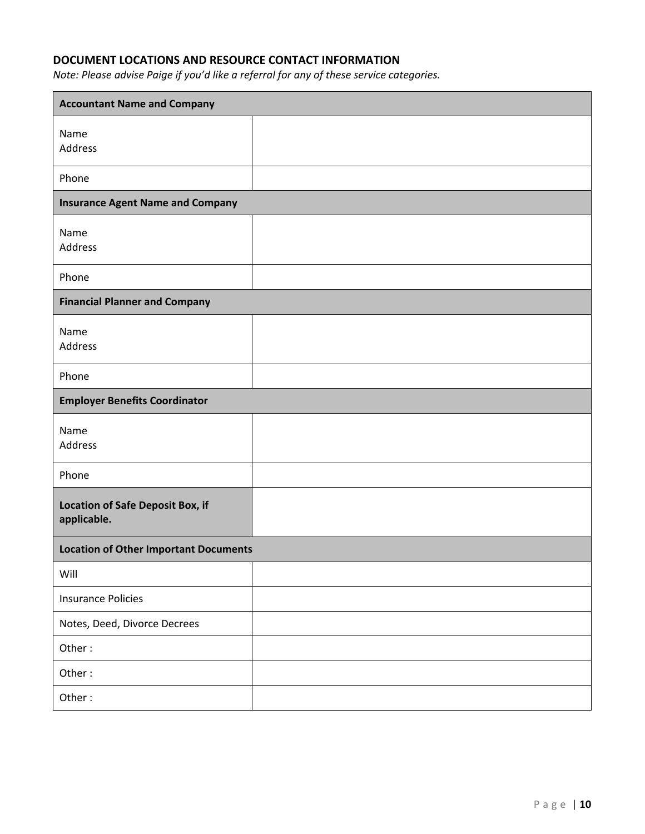# **DOCUMENT LOCATIONS AND RESOURCE CONTACT INFORMATION**

*Note: Please advise Paige if you'd like a referral for any of these service categories.*

| <b>Accountant Name and Company</b>                                     |  |  |
|------------------------------------------------------------------------|--|--|
| Name<br><b>Address</b>                                                 |  |  |
| Phone                                                                  |  |  |
| <b>Insurance Agent Name and Company</b>                                |  |  |
| Name<br>Address                                                        |  |  |
| Phone                                                                  |  |  |
| <b>Financial Planner and Company</b>                                   |  |  |
| Name<br>Address                                                        |  |  |
| Phone                                                                  |  |  |
| <b>Employer Benefits Coordinator</b>                                   |  |  |
| Name<br>Address                                                        |  |  |
| Phone                                                                  |  |  |
| <b>Address of Safe Deposit Box</b><br><b>Location &amp; Box Number</b> |  |  |
| <b>Location of Other Important Documents</b>                           |  |  |
| Will                                                                   |  |  |
| <b>Insurance Policies</b>                                              |  |  |
| Notes, Deed, Divorce Decrees                                           |  |  |
| Other:                                                                 |  |  |
| Other:                                                                 |  |  |
| Other:                                                                 |  |  |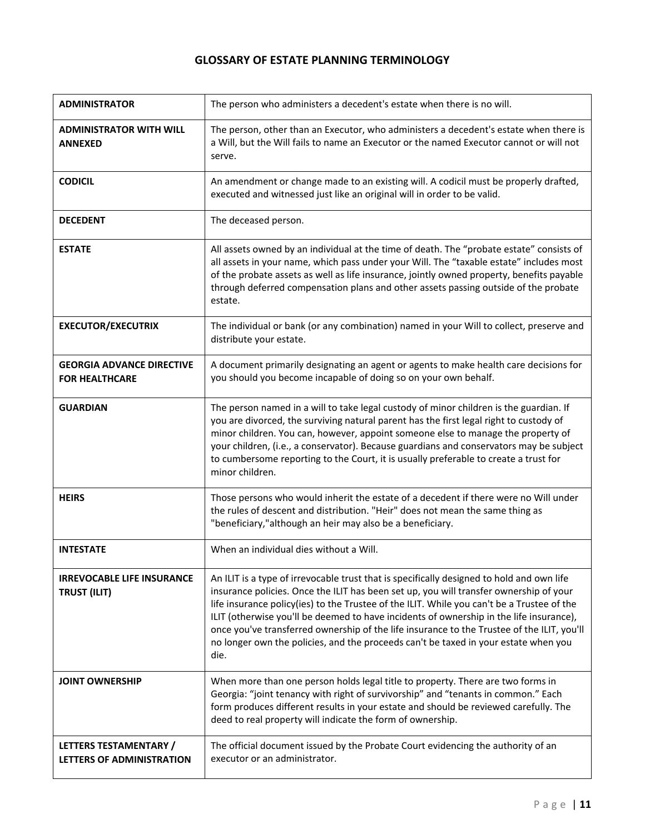#### **LIFE INSURANCE DOCUMENTATION CHART**

| <b>COMPANY</b> | <b>POLICY</b><br><b>NUMBER</b> | GROUP/<br>INDIVIDUAL,<br><b>WHOLE LIFE,</b><br>TERM, ETC. | <b>OWNER</b> | <b>BENEFICIARY</b> | <b>INSURED</b> | <b>DEATH</b><br><b>BENEFIT</b> | <b>OUTSTANDING</b><br><b>LOANS</b> |
|----------------|--------------------------------|-----------------------------------------------------------|--------------|--------------------|----------------|--------------------------------|------------------------------------|
|                |                                |                                                           |              |                    |                | $\boldsymbol{\zeta}$           | $\boldsymbol{\zeta}$               |
|                |                                |                                                           |              |                    |                | $\boldsymbol{\zeta}$           | $\boldsymbol{\zeta}$               |
|                |                                |                                                           |              |                    |                | $\boldsymbol{\zeta}$           | $\boldsymbol{\zeta}$               |
|                |                                |                                                           |              |                    |                | \$                             | \$                                 |
|                |                                |                                                           |              |                    |                | $\boldsymbol{\zeta}$           | $\boldsymbol{\zeta}$               |
|                |                                |                                                           |              |                    |                | \$                             | $\boldsymbol{\zeta}$               |
|                |                                |                                                           |              |                    |                | \$                             | \$                                 |
|                |                                |                                                           |              |                    |                | \$                             | $\boldsymbol{\zeta}$               |
|                |                                |                                                           |              |                    |                | $\boldsymbol{\zeta}$           | $\boldsymbol{\zeta}$               |
|                |                                |                                                           |              |                    |                | \$                             | \$                                 |
|                |                                |                                                           |              |                    |                | \$                             | $\boldsymbol{\zeta}$               |
|                |                                |                                                           |              |                    |                | $\zeta$                        | \$                                 |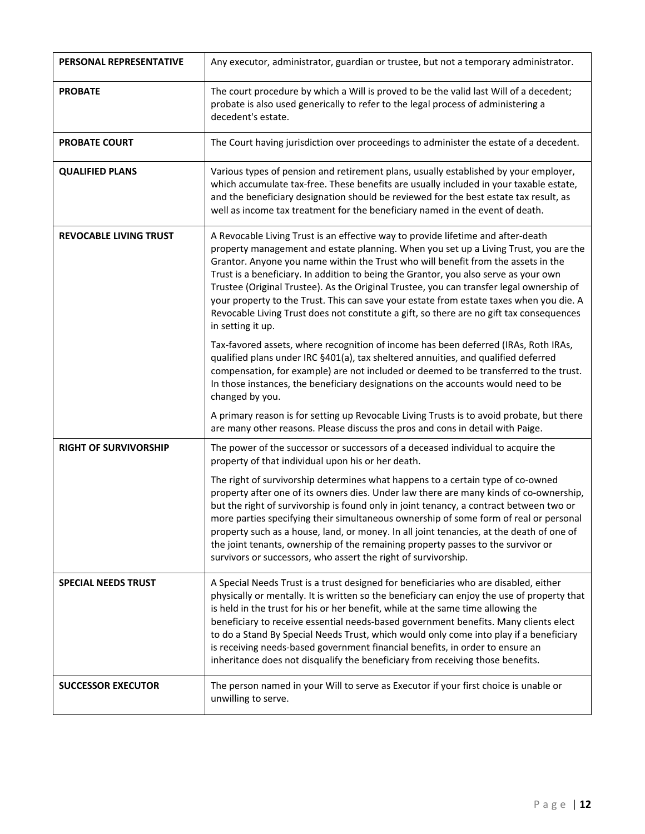#### **GLOSSARY OF ESTATE PLANNING TERMINOLOGY**

| <b>ADMINISTRATOR</b>                                      | The person who administers a decedent's estate when there is no will.                                                                                                                                                                                                                                                                                                                                                                                                                                                                                                     |
|-----------------------------------------------------------|---------------------------------------------------------------------------------------------------------------------------------------------------------------------------------------------------------------------------------------------------------------------------------------------------------------------------------------------------------------------------------------------------------------------------------------------------------------------------------------------------------------------------------------------------------------------------|
| <b>ADMINISTRATOR WITH WILL</b><br><b>ANNEXED</b>          | The person, other than an Executor, who administers a decedent's estate when there is<br>a Will, but the Will fails to name an Executor or the named Executor cannot or will not<br>serve.                                                                                                                                                                                                                                                                                                                                                                                |
| <b>CODICIL</b>                                            | An amendment or change made to an existing will. A codicil must be properly drafted,<br>executed and witnessed just like an original will in order to be valid.                                                                                                                                                                                                                                                                                                                                                                                                           |
| <b>DECEDENT</b>                                           | The deceased person.                                                                                                                                                                                                                                                                                                                                                                                                                                                                                                                                                      |
| <b>ESTATE</b>                                             | All assets owned by an individual at the time of death. The "probate estate" consists of<br>all assets in your name, which pass under your Will. The "taxable estate" includes most<br>of the probate assets as well as life insurance, jointly owned property, benefits payable<br>through deferred compensation plans and other assets passing outside of the probate<br>estate.                                                                                                                                                                                        |
| <b>EXECUTOR/EXECUTRIX</b>                                 | The individual or bank (or any combination) named in your Will to collect, preserve and<br>distribute your estate.                                                                                                                                                                                                                                                                                                                                                                                                                                                        |
| <b>GEORGIA ADVANCE DIRECTIVE</b><br><b>FOR HEALTHCARE</b> | A document primarily designating an agent or agents to make health care decisions for<br>you should you become incapable of doing so on your own behalf.                                                                                                                                                                                                                                                                                                                                                                                                                  |
| <b>GUARDIAN</b>                                           | The person named in a will to take legal custody of minor children is the guardian. If<br>you are divorced, the surviving natural parent has the first legal right to custody of<br>minor children. You can, however, appoint someone else to manage the property of<br>your children, (i.e., a conservator). Because guardians and conservators may be subject<br>to cumbersome reporting to the Court, it is usually preferable to create a trust for<br>minor children.                                                                                                |
| <b>HEIRS</b>                                              | Those persons who would inherit the estate of a decedent if there were no Will under<br>the rules of descent and distribution. "Heir" does not mean the same thing as<br>"beneficiary,"although an heir may also be a beneficiary.                                                                                                                                                                                                                                                                                                                                        |
| <b>INTESTATE</b>                                          | When an individual dies without a Will.                                                                                                                                                                                                                                                                                                                                                                                                                                                                                                                                   |
| <b>IRREVOCABLE LIFE INSURANCE</b><br><b>TRUST (ILIT)</b>  | An ILIT is a type of irrevocable trust that is specifically designed to hold and own life<br>insurance policies. Once the ILIT has been set up, you will transfer ownership of your<br>life insurance policy(ies) to the Trustee of the ILIT. While you can't be a Trustee of the<br>ILIT (otherwise you'll be deemed to have incidents of ownership in the life insurance),<br>once you've transferred ownership of the life insurance to the Trustee of the ILIT, you'll<br>no longer own the policies, and the proceeds can't be taxed in your estate when you<br>die. |
| <b>JOINT OWNERSHIP</b>                                    | When more than one person holds legal title to property. There are two forms in<br>Georgia: "joint tenancy with right of survivorship" and "tenants in common." Each<br>form produces different results in your estate and should be reviewed carefully. The<br>deed to real property will indicate the form of ownership.                                                                                                                                                                                                                                                |
| LETTERS TESTAMENTARY /<br>LETTERS OF ADMINISTRATION       | The official document issued by the Probate Court evidencing the authority of an<br>executor or an administrator.                                                                                                                                                                                                                                                                                                                                                                                                                                                         |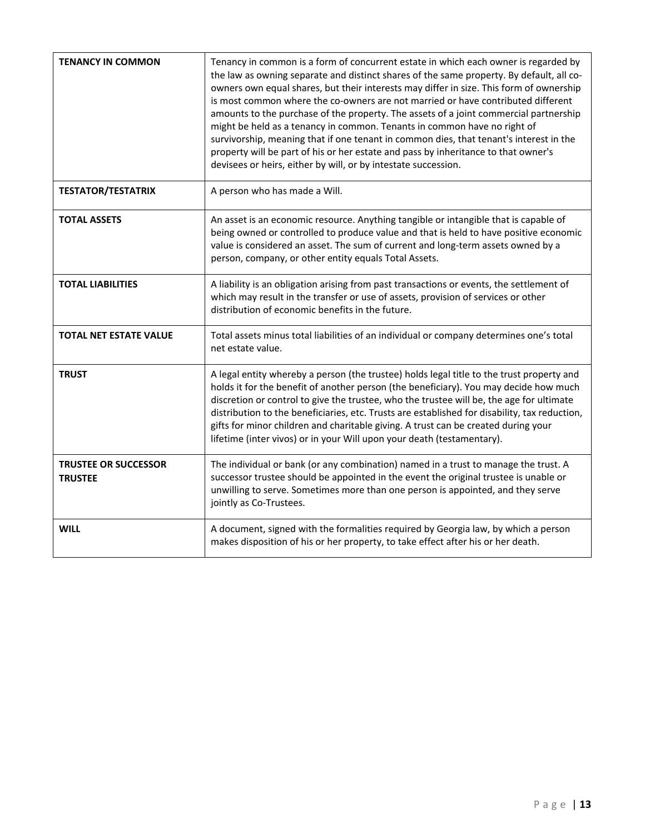| PERSONAL REPRESENTATIVE       | Any executor, administrator, guardian or trustee, but not a temporary administrator.                                                                                                                                                                                                                                                                                                                                                                                                                                                                                                                                                                          |
|-------------------------------|---------------------------------------------------------------------------------------------------------------------------------------------------------------------------------------------------------------------------------------------------------------------------------------------------------------------------------------------------------------------------------------------------------------------------------------------------------------------------------------------------------------------------------------------------------------------------------------------------------------------------------------------------------------|
| <b>PROBATE</b>                | The court procedure by which a Will is proved to be the valid last Will of a decedent;<br>probate is also used generically to refer to the legal process of administering a<br>decedent's estate.                                                                                                                                                                                                                                                                                                                                                                                                                                                             |
| <b>PROBATE COURT</b>          | The Court having jurisdiction over proceedings to administer the estate of a decedent.                                                                                                                                                                                                                                                                                                                                                                                                                                                                                                                                                                        |
| <b>QUALIFIED PLANS</b>        | Various types of pension and retirement plans, usually established by your employer,<br>which accumulate tax-free. These benefits are usually included in your taxable estate,<br>and the beneficiary designation should be reviewed for the best estate tax result, as<br>well as income tax treatment for the beneficiary named in the event of death.                                                                                                                                                                                                                                                                                                      |
| <b>REVOCABLE LIVING TRUST</b> | A Revocable Living Trust is an effective way to provide lifetime and after-death<br>property management and estate planning. When you set up a Living Trust, you are the<br>Grantor. Anyone you name within the Trust who will benefit from the assets in the<br>Trust is a beneficiary. In addition to being the Grantor, you also serve as your own<br>Trustee (Original Trustee). As the Original Trustee, you can transfer legal ownership of<br>your property to the Trust. This can save your estate from estate taxes when you die. A<br>Revocable Living Trust does not constitute a gift, so there are no gift tax consequences<br>in setting it up. |
|                               | Tax-favored assets, where recognition of income has been deferred (IRAs, Roth IRAs,<br>qualified plans under IRC §401(a), tax sheltered annuities, and qualified deferred<br>compensation, for example) are not included or deemed to be transferred to the trust.<br>In those instances, the beneficiary designations on the accounts would need to be<br>changed by you.                                                                                                                                                                                                                                                                                    |
|                               | A primary reason is for setting up Revocable Living Trusts is to avoid probate, but there<br>are many other reasons. Please discuss the pros and cons in detail with Paige.                                                                                                                                                                                                                                                                                                                                                                                                                                                                                   |
| <b>RIGHT OF SURVIVORSHIP</b>  | The power of the successor or successors of a deceased individual to acquire the<br>property of that individual upon his or her death.                                                                                                                                                                                                                                                                                                                                                                                                                                                                                                                        |
|                               | The right of survivorship determines what happens to a certain type of co-owned<br>property after one of its owners dies. Under law there are many kinds of co-ownership,<br>but the right of survivorship is found only in joint tenancy, a contract between two or<br>more parties specifying their simultaneous ownership of some form of real or personal<br>property such as a house, land, or money. In all joint tenancies, at the death of one of<br>the joint tenants, ownership of the remaining property passes to the survivor or<br>survivors or successors, who assert the right of survivorship.                                               |
| <b>SPECIAL NEEDS TRUST</b>    | A Special Needs Trust is a trust designed for beneficiaries who are disabled, either<br>physically or mentally. It is written so the beneficiary can enjoy the use of property that<br>is held in the trust for his or her benefit, while at the same time allowing the<br>beneficiary to receive essential needs-based government benefits. Many clients elect<br>to do a Stand By Special Needs Trust, which would only come into play if a beneficiary<br>is receiving needs-based government financial benefits, in order to ensure an<br>inheritance does not disqualify the beneficiary from receiving those benefits.                                  |
| <b>SUCCESSOR EXECUTOR</b>     | The person named in your Will to serve as Executor if your first choice is unable or<br>unwilling to serve.                                                                                                                                                                                                                                                                                                                                                                                                                                                                                                                                                   |